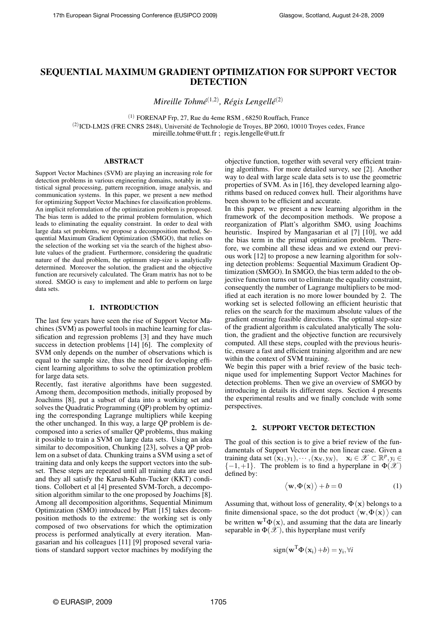# SEQUENTIAL MAXIMUM GRADIENT OPTIMIZATION FOR SUPPORT VECTOR **DETECTION**

*Mireille Tohmé*(1,2) *, Régis Lengellé*(2)

 $(1)$  FORENAP Frp, 27, Rue du 4eme RSM, 68250 Rouffach, France

(2) ICD-LM2S (FRE CNRS 2848), Université de Technologie de Troyes, BP 2060, 10010 Troyes cedex, France mireille.tohme@utt.fr ; regis.lengelle@utt.fr

#### ABSTRACT

Support Vector Machines (SVM) are playing an increasing role for detection problems in various engineering domains, notably in statistical signal processing, pattern recognition, image analysis, and communication systems. In this paper, we present a new method for optimizing Support Vector Machines for classification problems. An implicit reformulation of the optimization problem is proposed. The bias term is added to the primal problem formulation, which leads to eliminating the equality constraint. In order to deal with large data set problems, we propose a decomposition method, Sequential Maximum Gradient Optimization (SMGO), that relies on the selection of the working set via the search of the highest absolute values of the gradient. Furthermore, considering the quadratic nature of the dual problem, the optimum step-size is analytically determined. Moreover the solution, the gradient and the objective function are recursively calculated. The Gram matrix has not to be stored. SMGO is easy to implement and able to perform on large data sets.

#### 1. INTRODUCTION

The last few years have seen the rise of Support Vector Machines (SVM) as powerful tools in machine learning for classification and regression problems [3] and they have much success in detection problems [14] [6]. The complexity of SVM only depends on the number of observations which is equal to the sample size, thus the need for developing efficient learning algorithms to solve the optimization problem for large data sets.

Recently, fast iterative algorithms have been suggested. Among them, decomposition methods, initially proposed by Joachims [8], put a subset of data into a working set and solves the Quadratic Programming (QP) problem by optimizing the corresponding Lagrange multipliers while keeping the other unchanged. In this way, a large QP problem is decomposed into a series of smaller QP problems, thus making it possible to train a SVM on large data sets. Using an idea similar to decomposition, Chunking [23], solves a QP problem on a subset of data. Chunking trains a SVM using a set of training data and only keeps the support vectors into the subset. These steps are repeated until all training data are used and they all satisfy the Karush-Kuhn-Tucker (KKT) conditions. Collobert et al [4] presented SVM-Torch, a decomposition algorithm similar to the one proposed by Joachims [8]. Among all decomposition algorithms, Sequential Minimum Optimization (SMO) introduced by Platt [15] takes decomposition methods to the extreme: the working set is only composed of two observations for which the optimization process is performed analytically at every iteration. Mangasarian and his colleagues [11] [9] proposed several variations of standard support vector machines by modifying the

objective function, together with several very efficient training algorithms. For more detailed survey, see [2]. Another way to deal with large scale data sets is to use the geometric properties of SVM. As in [16], they developed learning algorithms based on reduced convex hull. Their algorithms have been shown to be efficient and accurate.

In this paper, we present a new learning algorithm in the framework of the decomposition methods. We propose a reorganization of Platt's algorithm SMO, using Joachims heuristic. Inspired by Mangasarian et al [7] [10], we add the bias term in the primal optimization problem. Therefore, we combine all these ideas and we extend our previous work [12] to propose a new learning algorithm for solving detection problems: Sequential Maximum Gradient Optimization (SMGO). In SMGO, the bias term added to the objective function turns out to eliminate the equality constraint, consequently the number of Lagrange multipliers to be modified at each iteration is no more lower bounded by 2. The working set is selected following an efficient heuristic that relies on the search for the maximum absolute values of the gradient ensuring feasible directions. The optimal step-size of the gradient algorithm is calculated analytically The solution, the gradient and the objective function are recursively computed. All these steps, coupled with the previous heuristic, ensure a fast and efficient training algorithm and are new within the context of SVM training.

We begin this paper with a brief review of the basic technique used for implementing Support Vector Machines for detection problems. Then we give an overview of SMGO by introducing in details its different steps. Section 4 presents the experimental results and we finally conclude with some perspectives.

#### 2. SUPPORT VECTOR DETECTION

The goal of this section is to give a brief review of the fundamentals of Support Vector in the non linear case. Given a training data set  $(\mathbf{x}_1, y_1), \cdots, (\mathbf{x}_N, y_N), \quad \mathbf{x}_i \in \mathcal{X} \subset \mathbb{R}^p, y_i \in$  $\{-1,+1\}$ . The problem is to find a hyperplane in  $\Phi(\mathscr{X})$ defined by:

$$
\langle \mathbf{w}, \Phi(\mathbf{x}) \rangle + b = 0 \tag{1}
$$

Assuming that, without loss of generality,  $\Phi(\mathbf{x})$  belongs to a Assuming that, without loss of generality,  $\Psi(x)$  belongs to a finite dimensional space, so the dot product  $\langle w, \Phi(x) \rangle$  can be written  $\mathbf{w}^T \Phi(\mathbf{x})$ , and assuming that the data are linearly separable in  $\Phi(\mathcal{X})$ , this hyperplane must verify

$$
sign(\mathbf{w}^{\mathrm{T}}\mathbf{\Phi}(\mathbf{x}_i)+b)=y_i, \forall i
$$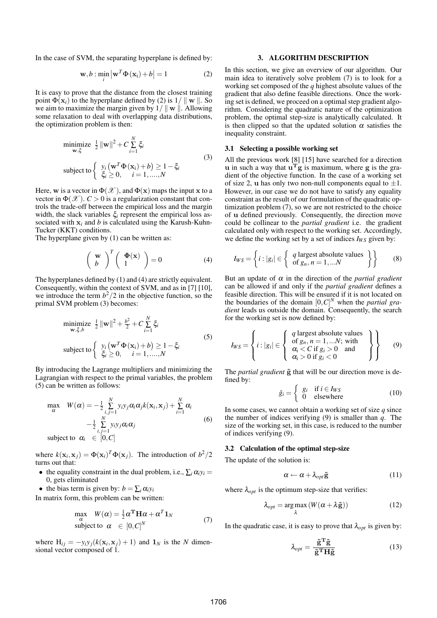In the case of SVM, the separating hyperplane is defined by:

$$
\mathbf{w}, b : \min_{i} \left| \mathbf{w}^{T} \Phi(\mathbf{x}_{i}) + b \right| = 1
$$
 (2)

It is easy to prove that the distance from the closest training point  $\Phi(\mathbf{x}_i)$  to the hyperplane defined by (2) is  $1/||\mathbf{w}||$ . So we aim to maximize the margin given by  $1/ || \mathbf{w} ||$ . Allowing some relaxation to deal with overlapping data distributions, the optimization problem is then:

$$
\begin{aligned}\n\min_{\mathbf{w}, \xi} \text{imize} & \frac{1}{2} \|\mathbf{w}\|^2 + C \sum_{i=1}^N \xi_i \\
\text{subject to} & \begin{cases} \ny_i \left(\mathbf{w}^T \Phi(\mathbf{x}_i) + b\right) \ge 1 - \xi_i \\
\xi_i \ge 0, \quad i = 1, \dots, N \n\end{cases}\n\end{aligned} \tag{3}
$$

Here, w is a vector in  $\Phi(\mathscr{X})$ , and  $\Phi(\mathbf{x})$  maps the input x to a vector in  $\Phi(\mathcal{X})$ . *C* > 0 is a regularization constant that controls the trade-off between the empirical loss and the margin width, the slack variables ξ*<sup>i</sup>* represent the empirical loss associated with x*<sup>i</sup>* and *b* is calculated using the Karush-Kuhn-Tucker (KKT) conditions.

The hyperplane given by (1) can be written as:

$$
\left(\begin{array}{c}\mathbf{w}\\b\end{array}\right)^T\left(\begin{array}{c}\mathbf{\Phi}(\mathbf{x})\\1\end{array}\right) = 0\tag{4}
$$

The hyperplanes defined by (1) and (4) are strictly equivalent. Consequently, within the context of SVM, and as in [7] [10], we introduce the term  $b^2/2$  in the objective function, so the primal SVM problem (3) becomes:

$$
\begin{aligned}\n\text{minimize} & \frac{1}{2} \|\mathbf{w}\|^2 + \frac{b^2}{2} + C \sum_{i=1}^N \xi_i \\
\text{subject to} & \begin{cases} \ny_i \left(\mathbf{w}^T \Phi(\mathbf{x}_i) + b\right) \ge 1 - \xi_i \\
\xi_i \ge 0, \quad i = 1, \dots, N \n\end{cases}\n\end{aligned} \tag{5}
$$

By introducing the Lagrange multipliers and minimizing the Lagrangian with respect to the primal variables, the problem (5) can be written as follows:

$$
\max_{\alpha} W(\alpha) = -\frac{1}{2} \sum_{i,j=1}^{N} y_i y_j \alpha_i \alpha_j k(\mathbf{x}_i, \mathbf{x}_j) + \sum_{i=1}^{N} \alpha_i
$$
  

$$
-\frac{1}{2} \sum_{i,j=1}^{N} y_i y_j \alpha_i \alpha_j
$$
  
subject to  $\alpha_i \in [0, C]$  (6)

where  $k(\mathbf{x}_i, \mathbf{x}_j) = \Phi(\mathbf{x}_i)^T \Phi(\mathbf{x}_j)$ . The introduction of  $b^2/2$ turns out that:

- the equality constraint in the dual problem, i.e.,  $\sum_i \alpha_i y_i =$ 0, gets eliminated
- the bias term is given by:  $b = \sum_i \alpha_i y_i$

In matrix form, this problem can be written:

$$
\max_{\alpha} W(\alpha) = \frac{1}{2} \alpha^{\mathrm{T}} \mathbf{H} \alpha + \alpha^{\mathrm{T}} \mathbf{1}_N
$$
  
subject to  $\alpha \in [0, C]^N$  (7)

where  $H_{ij} = -y_i y_j (k(\mathbf{x}_i, \mathbf{x}_j) + 1)$  and  $\mathbf{1}_N$  is the *N* dimensional vector composed of 1.

### 3. ALGORITHM DESCRIPTION

In this section, we give an overview of our algorithm. Our main idea to iteratively solve problem (7) is to look for a working set composed of the *q* highest absolute values of the gradient that also define feasible directions. Once the working set is defined, we proceed on a optimal step gradient algorithm. Considering the quadratic nature of the optimization problem, the optimal step-size is analytically calculated. It is then clipped so that the updated solution  $\alpha$  satisfies the inequality constraint.

#### 3.1 Selecting a possible working set

All the previous work [8] [15] have searched for a direction **u** in such a way that  $\mathbf{u}^T \mathbf{g}$  is maximum, where  $\mathbf{g}$  is the gradient of the objective function. In the case of a working set of size 2, u has only two non-null components equal to  $\pm 1$ . However, in our case we do not have to satisfy any equality constraint as the result of our formulation of the quadratic optimization problem (7), so we are not restricted to the choice of u defined previously. Consequently, the direction move could be collinear to the *partial gradient* i.e. the gradient calculated only with respect to the working set. Accordingly, we define the working set by a set of indices  $I_{WS}$  given by:

$$
I_{WS} = \left\{ i : |g_i| \in \left\{ \begin{array}{c} q \text{ largest absolute values} \\ \text{of } g_n, n = 1, ... N \end{array} \right\} \right\}
$$
 (8)

But an update of  $\alpha$  in the direction of the *partial gradient* can be allowed if and only if the *partial gradient* defines a feasible direction. This will be ensured if it is not located on the boundaries of the domain  $[0, C]^N$  when the *partial gradient* leads us outside the domain. Consequently, the search for the working set is now defined by:

$$
I_{WS} = \left\{ i : |g_i| \in \left\{ \begin{array}{l} q \text{ largest absolute values} \\ \text{of } g_n, n = 1, \dots N; \text{ with} \\ \alpha_i < C \text{ if } g_i > 0 \text{ and} \\ \alpha_i > 0 \text{ if } g_i < 0 \end{array} \right\} \right\} \tag{9}
$$

The *partial gradient*  $\tilde{g}$  that will be our direction move is defined by: ½

$$
\tilde{g}_i = \begin{cases} g_i & \text{if } i \in I_{WS} \\ 0 & \text{elsewhere} \end{cases}
$$
 (10)

In some cases, we cannot obtain a working set of size *q* since the number of indices verifying (9) is smaller than *q*. The size of the working set, in this case, is reduced to the number of indices verifying (9).

### 3.2 Calculation of the optimal step-size

The update of the solution is:

$$
\alpha \leftarrow \alpha + \lambda_{opt} \tilde{\mathbf{g}} \tag{11}
$$

where  $\lambda_{opt}$  is the optimum step-size that verifies:

$$
\lambda_{opt} = \underset{\lambda}{\arg \max} (W(\alpha + \lambda \tilde{\mathbf{g}}))
$$
 (12)

In the quadratic case, it is easy to prove that  $\lambda_{opt}$  is given by:

$$
\lambda_{opt} = \frac{\tilde{\mathbf{g}}^{\mathrm{T}} \tilde{\mathbf{g}}}{\tilde{\mathbf{g}}^{\mathrm{T}} \mathbf{H} \tilde{\mathbf{g}}}
$$
(13)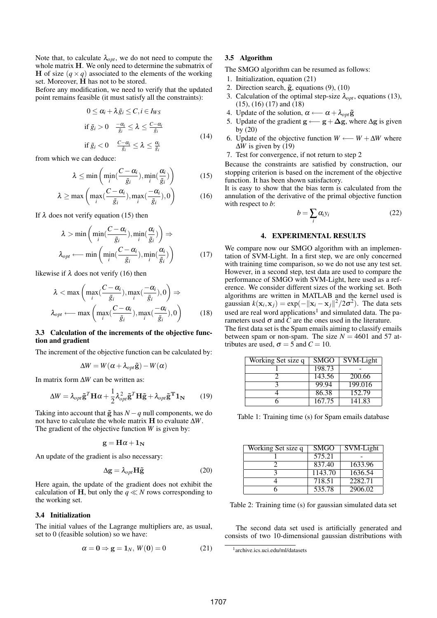Note that, to calculate  $\lambda_{opt}$ , we do not need to compute the whole matrix H. We only need to determine the submatrix of H of size  $(q \times q)$  associated to the elements of the working set. Moreover, H has not to be stored.

Before any modification, we need to verify that the updated point remains feasible (it must satisfy all the constraints):

$$
0 \leq \alpha_i + \lambda \tilde{g}_i \leq C, i \in I_{WS}
$$
  
if  $\tilde{g}_i > 0$   $\frac{-\alpha_i}{\tilde{g}_i} \leq \lambda \leq \frac{C - \alpha_i}{\tilde{g}_i}$   
if  $\tilde{g}_i < 0$   $\frac{C - \alpha_i}{\tilde{g}_i} \leq \lambda \leq \frac{\alpha_i}{\tilde{g}_i}$  (14)

from which we can deduce:

$$
\lambda \le \min\left(\min_{i}(\frac{C-\alpha_i}{\tilde{g}_i}), \min_{i}(\frac{\alpha_i}{\tilde{g}_i})\right) \tag{15}
$$

$$
\lambda \ge \max\left(\max_{i}(\frac{C-\alpha_{i}}{\tilde{g}_{i}}), \max_{i}(\frac{-\alpha_{i}}{\tilde{g}_{i}}), 0\right) \tag{16}
$$

If  $\lambda$  does not verify equation (15) then

$$
\lambda > \min\left(\min_{i}(\frac{C-\alpha_{i}}{\tilde{g}_{i}}), \min_{i}(\frac{\alpha_{i}}{\tilde{g}_{i}})\right) \Rightarrow \lambda_{opt} \longleftarrow \min\left(\min_{i}(\frac{C-\alpha_{i}}{\tilde{g}_{i}}), \min_{i}(\frac{\alpha_{i}}{\tilde{g}_{i}})\right) \tag{17}
$$

likewise if  $\lambda$  does not verify (16) then

$$
\lambda < \max \left( \max_{i} \left( \frac{C - \alpha_{i}}{\tilde{g}_{i}} \right), \max_{i} \left( \frac{-\alpha_{i}}{\tilde{g}_{i}} \right), 0 \right) \Rightarrow
$$

$$
\lambda_{opt} \longleftarrow \max \left( \max_{i} \left( \frac{C - \alpha_{i}}{\tilde{g}_{i}} \right), \max_{i} \left( \frac{-\alpha_{i}}{\tilde{g}_{i}} \right), 0 \right) \tag{18}
$$

### 3.3 Calculation of the increments of the objective function and gradient

The increment of the objective function can be calculated by:

$$
\Delta W = W(\alpha + \lambda_{opt} \tilde{\mathbf{g}}) - W(\alpha)
$$

In matrix form ∆*W* can be written as:

$$
\Delta W = \lambda_{opt} \tilde{\mathbf{g}}^T \mathbf{H} \alpha + \frac{1}{2} \lambda_{opt}^2 \tilde{\mathbf{g}}^T \mathbf{H} \tilde{\mathbf{g}} + \lambda_{opt} \tilde{\mathbf{g}}^T \mathbf{1}_N \qquad (19)
$$

Taking into account that  $\tilde{g}$  has  $N-q$  null components, we do not have to calculate the whole matrix H to evaluate ∆*W*. The gradient of the objective function *W* is given by:

$$
\mathbf{g} = \mathbf{H}\boldsymbol{\alpha} + \mathbf{1_N}
$$

An update of the gradient is also necessary:

$$
\Delta g = \lambda_{opt} H \tilde{g}
$$
 (20)

Here again, the update of the gradient does not exhibit the calculation of H, but only the  $q \ll N$  rows corresponding to the working set.

### 3.4 Initialization

The initial values of the Lagrange multipliers are, as usual, set to 0 (feasible solution) so we have:

$$
\alpha = 0 \Rightarrow g = 1_N, W(0) = 0 \tag{21}
$$

# 3.5 Algorithm

The SMGO algorithm can be resumed as follows:

- 1. Initialization, equation (21)
- 2. Direction search,  $\tilde{g}$ , equations (9), (10)
- 3. Calculation of the optimal step-size  $\lambda_{opt}$ , equations (13), (15), (16) (17) and (18)
- 4. Update of the solution,  $\alpha \leftarrow \alpha + \lambda_{opt} \tilde{g}$
- 5. Update of the gradient  $g \leftarrow g + \Delta g$ , where  $\Delta g$  is given by (20)
- 6. Update of the objective function  $W \longleftarrow W + \Delta W$  where ∆*W* is given by (19)
- 7. Test for convergence, if not return to step 2

Because the constraints are satisfied by construction, our stopping criterion is based on the increment of the objective function. It has been shown satisfactory.

It is easy to show that the bias term is calculated from the annulation of the derivative of the primal objective function with respect to *b*:

$$
b = \sum_{i} \alpha_{i} y_{i} \tag{22}
$$

### 4. EXPERIMENTAL RESULTS

We compare now our SMGO algorithm with an implementation of SVM-Light. In a first step, we are only concerned with training time comparison, so we do not use any test set. However, in a second step, test data are used to compare the performance of SMGO with SVM-Light, here used as a reference. We consider different sizes of the working set. Both algorithms are written in MATLAB and the kernel used is gaussian  $k(\mathbf{x}_i, \mathbf{x}_j) = \exp(-\|\mathbf{x}_i - \mathbf{x}_j\|^2 / 2\sigma^2)$ . The data sets used are real word applications<sup>1</sup> and simulated data. The parameters used  $\sigma$  and  $C$  are the ones used in the literature. The first data set is the Spam emails aiming to classify emails between spam or non-spam. The size  $N = 4601$  and 57 attributes are used,  $\sigma = 5$  and  $C = 10$ .

| Working Set size q | <b>SMGO</b> | SVM-Light |
|--------------------|-------------|-----------|
|                    | 198.73      |           |
|                    | 143.56      | 200.66    |
|                    | 99.94       | 199.016   |
|                    | 86.38       | 152.79    |
|                    | 167.75      | 141.83    |

Table 1: Training time (s) for Spam emails database

| Working Set size q | <b>SMGO</b> | SVM-Light |
|--------------------|-------------|-----------|
|                    | 575.21      |           |
|                    | 837.40      | 1633.96   |
|                    | 1143.70     | 1636.54   |
|                    | 718.51      | 2282.71   |
|                    | 535.78      | 2906.02   |

Table 2: Training time (s) for gaussian simulated data set

The second data set used is artificially generated and consists of two 10-dimensional gaussian distributions with

<sup>1</sup> archive.ics.uci.edu/ml/datasets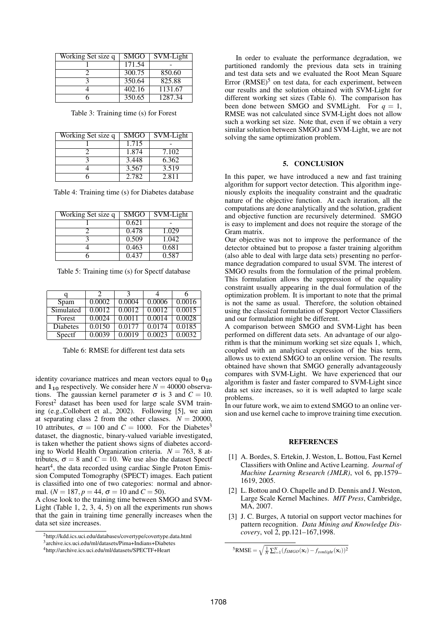| Working Set size q | <b>SMGO</b> | $\overline{\text{SVM}}$ -Light |
|--------------------|-------------|--------------------------------|
|                    | 171.54      |                                |
|                    | 300.75      | 850.60                         |
|                    | 350.64      | 825.88                         |
|                    | 402.16      | 1131.67                        |
|                    | 350.65      | 1287.34                        |

Table 3: Training time (s) for Forest

| Working Set size q | <b>SMGO</b> | SVM-Light |
|--------------------|-------------|-----------|
|                    | 1.715       |           |
|                    | 1.874       | 7.102     |
|                    | 3.448       | 6.362     |
|                    | 3.567       | 3.519     |
|                    | 2.782       | 2.811     |

| Working Set size q | <b>SMGO</b> | SVM-Light |
|--------------------|-------------|-----------|
|                    | 0.621       |           |
|                    | 0.478       | 1.029     |
|                    | 0.509       | 1.042     |
|                    | 0.463       | 0.681     |
|                    | 0.437       | 0.587     |

Table 5: Training time (s) for Spectf database

|                 | 2      | 3      | 4      | 6      |
|-----------------|--------|--------|--------|--------|
| Spam            | 0.0002 | 0.0004 | 0.0006 | 0.0016 |
| Simulated       | 0.0012 | 0.0012 | 0.0012 | 0.0015 |
| Forest          | 0.0024 | 0.0011 | 0.0014 | 0.0028 |
| <b>Diabetes</b> | 0.0150 | 0.0177 | 0.0174 | 0.0185 |
| Spectf          | 0.0039 | 0.0019 | 0.0023 | 0.0032 |

Table 6: RMSE for different test data sets

identity covariance matrices and mean vectors equal to  $0_{10}$ and  $1_{10}$  respectively. We consider here  $N = 40000$  observations. The gaussian kernel parameter  $\sigma$  is 3 and  $C = 10$ . Forest<sup>2</sup> dataset has been used for large scale SVM training (e.g.,Collobert et al., 2002). Following [5], we aim at separating class 2 from the other classes.  $N = 20000$ , 10 attributes,  $\sigma = 100$  and  $C = 1000$ . For the Diabetes<sup>3</sup> dataset, the diagnostic, binary-valued variable investigated, is taken whether the patient shows signs of diabetes according to World Health Organization criteria.  $N = 763$ , 8 attributes,  $\sigma = 8$  and  $C = 10$ . We use also the dataset Spectf heart<sup>4</sup>, the data recorded using cardiac Single Proton Emission Computed Tomography (SPECT) images. Each patient is classified into one of two categories: normal and abnormal. ( $N = 187$ ,  $p = 44$ ,  $\sigma = 10$  and  $C = 50$ ).

A close look to the training time between SMGO and SVM-Light (Table 1, 2, 3, 4, 5) on all the experiments run shows that the gain in training time generally increases when the data set size increases.

In order to evaluate the performance degradation, we partitioned randomly the previous data sets in training and test data sets and we evaluated the Root Mean Square Error  $(RMSE)^5$  on test data, for each experiment, between our results and the solution obtained with SVM-Light for different working set sizes (Table 6). The comparison has been done between SMGO and SVMLight. For  $q = 1$ , RMSE was not calculated since SVM-Light does not allow such a working set size. Note that, even if we obtain a very similar solution between SMGO and SVM-Light, we are not solving the same optimization problem.

## 5. CONCLUSION

In this paper, we have introduced a new and fast training algorithm for support vector detection. This algorithm ingeniously exploits the inequality constraint and the quadratic nature of the objective function. At each iteration, all the computations are done analytically and the solution, gradient and objective function are recursively determined. SMGO is easy to implement and does not require the storage of the Gram matrix.

Our objective was not to improve the performance of the detector obtained but to propose a faster training algorithm (also able to deal with large data sets) presenting no performance degradation compared to usual SVM. The interest of SMGO results from the formulation of the primal problem. This formulation allows the suppression of the equality constraint usually appearing in the dual formulation of the optimization problem. It is important to note that the primal is not the same as usual. Therefore, the solution obtained using the classical formulation of Support Vector Classifiers and our formulation might be different.

A comparison between SMGO and SVM-Light has been performed on different data sets. An advantage of our algorithm is that the minimum working set size equals 1, which, coupled with an analytical expression of the bias term, allows us to extend SMGO to an online version. The results obtained have shown that SMGO generally advantageously compares with SVM-Light. We have experienced that our algorithm is faster and faster compared to SVM-Light since data set size increases, so it is well adapted to large scale problems.

In our future work, we aim to extend SMGO to an online version and use kernel cache to improve training time execution.

### REFERENCES

- [1] A. Bordes, S. Ertekin, J. Weston, L. Bottou, Fast Kernel Classifiers with Online and Active Learning. *Journal of Machine Learning Research (JMLR)*, vol 6, pp.1579– 1619, 2005.
- [2] L. Bottou and O. Chapelle and D. Dennis and J. Weston, Large Scale Kernel Machines. *MIT Press*, Cambridge, MA, 2007.
- [3] J. C. Burges, A tutorial on support vector machines for pattern recognition. *Data Mining and Knowledge Discovery*, vol 2, pp.121–167,1998.

<sup>2</sup>http://kdd.ics.uci.edu/databases/covertype/covertype.data.html

<sup>3</sup> archive.ics.uci.edu/ml/datasets/Pima+Indians+Diabetes

<sup>4</sup>http://archive.ics.uci.edu/ml/datasets/SPECTF+Heart

 $5$ RMSE =  $\sqrt{\frac{1}{N} \sum_{i=1}^{N} (f_{SMGO}(\mathbf{x}_i) - f_{swmlight}(\mathbf{x}_i))^2}$